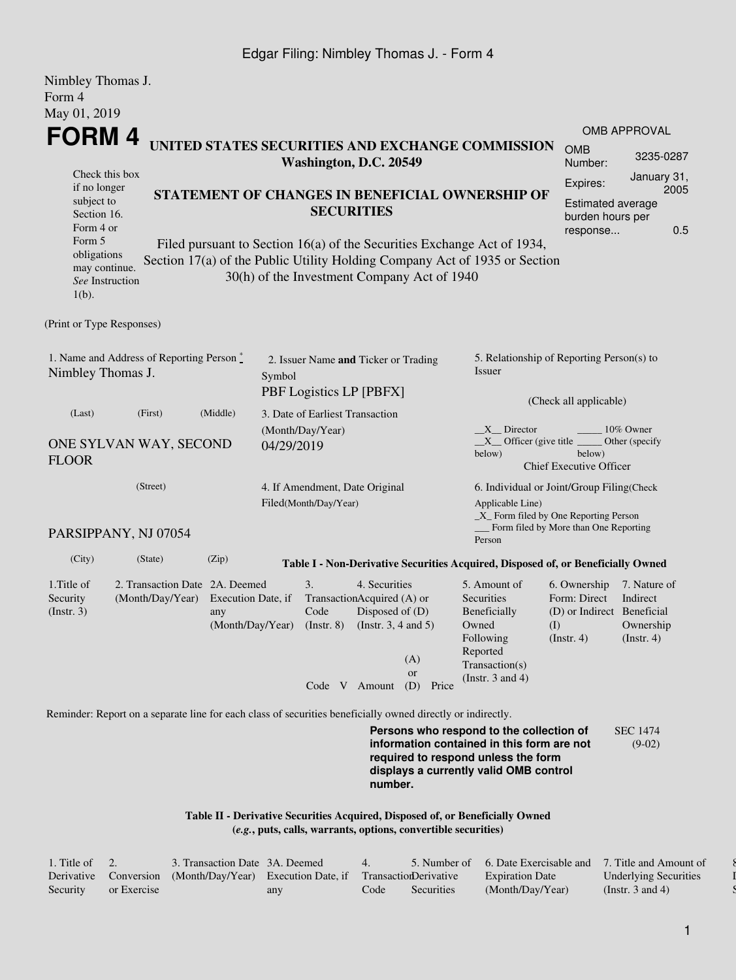## Edgar Filing: Nimbley Thomas J. - Form 4

| Nimbley Thomas J.<br>Form 4                                                                       |                                                                                                             |                                                                              |                                                                   |                                                                                         |                           |                                                                                                                                                       |                                                                                       |                                                           |  |
|---------------------------------------------------------------------------------------------------|-------------------------------------------------------------------------------------------------------------|------------------------------------------------------------------------------|-------------------------------------------------------------------|-----------------------------------------------------------------------------------------|---------------------------|-------------------------------------------------------------------------------------------------------------------------------------------------------|---------------------------------------------------------------------------------------|-----------------------------------------------------------|--|
| May 01, 2019                                                                                      |                                                                                                             |                                                                              |                                                                   |                                                                                         |                           |                                                                                                                                                       |                                                                                       |                                                           |  |
| <b>FORM4</b>                                                                                      |                                                                                                             |                                                                              |                                                                   |                                                                                         |                           |                                                                                                                                                       |                                                                                       | <b>OMB APPROVAL</b>                                       |  |
|                                                                                                   |                                                                                                             |                                                                              | Washington, D.C. 20549                                            |                                                                                         |                           | UNITED STATES SECURITIES AND EXCHANGE COMMISSION                                                                                                      | <b>OMB</b><br>Number:                                                                 | 3235-0287                                                 |  |
| Check this box<br>if no longer<br>subject to<br>Section 16.<br>Form 4 or                          |                                                                                                             |                                                                              |                                                                   | <b>SECURITIES</b>                                                                       |                           | STATEMENT OF CHANGES IN BENEFICIAL OWNERSHIP OF                                                                                                       | Expires:<br><b>Estimated average</b><br>burden hours per                              | January 31,<br>2005                                       |  |
| Form 5<br>obligations<br>may continue.<br>See Instruction<br>$1(b)$ .                             |                                                                                                             | 30(h) of the Investment Company Act of 1940                                  |                                                                   |                                                                                         |                           | Filed pursuant to Section 16(a) of the Securities Exchange Act of 1934,<br>Section 17(a) of the Public Utility Holding Company Act of 1935 or Section | response                                                                              | 0.5                                                       |  |
| (Print or Type Responses)                                                                         |                                                                                                             |                                                                              |                                                                   |                                                                                         |                           |                                                                                                                                                       |                                                                                       |                                                           |  |
| 1. Name and Address of Reporting Person $\stackrel{*}{\mathbb{L}}$<br>Nimbley Thomas J.<br>Symbol |                                                                                                             |                                                                              | 2. Issuer Name and Ticker or Trading<br>PBF Logistics LP [PBFX]   |                                                                                         |                           | 5. Relationship of Reporting Person(s) to<br><b>Issuer</b><br>(Check all applicable)                                                                  |                                                                                       |                                                           |  |
| (Middle)<br>(Last)<br>(First)<br>ONE SYLVAN WAY, SECOND<br><b>FLOOR</b>                           |                                                                                                             |                                                                              | 3. Date of Earliest Transaction<br>(Month/Day/Year)<br>04/29/2019 |                                                                                         |                           | $X$ Director<br>10% Owner<br>$X$ Officer (give title $\_\_\_\$ Other (specify<br>below)<br>below)<br><b>Chief Executive Officer</b>                   |                                                                                       |                                                           |  |
|                                                                                                   | (Street)                                                                                                    |                                                                              | 4. If Amendment, Date Original<br>Filed(Month/Day/Year)           |                                                                                         |                           | 6. Individual or Joint/Group Filing(Check<br>Applicable Line)<br>_X_ Form filed by One Reporting Person                                               |                                                                                       |                                                           |  |
|                                                                                                   | PARSIPPANY, NJ 07054                                                                                        |                                                                              |                                                                   |                                                                                         |                           | Person                                                                                                                                                | _Form filed by More than One Reporting                                                |                                                           |  |
| (City)                                                                                            | (State)                                                                                                     | (Zip)                                                                        |                                                                   |                                                                                         |                           | Table I - Non-Derivative Securities Acquired, Disposed of, or Beneficially Owned                                                                      |                                                                                       |                                                           |  |
| 1. Title of<br>Security<br>$($ Instr. 3 $)$                                                       | 2. Transaction Date 2A. Deemed<br>(Month/Day/Year)                                                          | Execution Date, if<br>any<br>(Month/Day/Year) (Instr. 8) (Instr. 3, 4 and 5) | 3.<br>Code                                                        | 4. Securities<br>TransactionAcquired (A) or<br>Disposed of $(D)$<br>Code $V$ Amount (D) | (A)<br><b>or</b><br>Price | 5. Amount of<br>Securities<br>Beneficially<br>Owned<br>Following<br>Reported<br>Transaction(s)<br>(Instr. $3$ and $4$ )                               | 6. Ownership<br>Form: Direct<br>(D) or Indirect Beneficial<br>(I)<br>$($ Instr. 4 $)$ | 7. Nature of<br>Indirect<br>Ownership<br>$($ Instr. 4 $)$ |  |
|                                                                                                   | Reminder: Report on a separate line for each class of securities beneficially owned directly or indirectly. |                                                                              |                                                                   |                                                                                         |                           |                                                                                                                                                       |                                                                                       |                                                           |  |
|                                                                                                   |                                                                                                             |                                                                              |                                                                   |                                                                                         |                           | <b>Dorsons who respond to the collection of</b>                                                                                                       |                                                                                       |                                                           |  |

**Persons who respond to the collection of information contained in this form are not required to respond unless the form displays a currently valid OMB control number.** SEC 1474 (9-02)

**Table II - Derivative Securities Acquired, Disposed of, or Beneficially Owned (***e.g.***, puts, calls, warrants, options, convertible securities)**

| 1. Title of $\quad 2.$ |             | 3. Transaction Date 3A. Deemed                                                   |     | 4    |            | 5. Number of 6. Date Exercisable and 7. Title and Amount of |                              |
|------------------------|-------------|----------------------------------------------------------------------------------|-----|------|------------|-------------------------------------------------------------|------------------------------|
|                        |             | Derivative Conversion (Month/Day/Year) Execution Date, if Transaction Derivative |     |      |            | <b>Expiration Date</b>                                      | <b>Underlying Securities</b> |
| Security               | or Exercise |                                                                                  | any | Code | Securities | (Month/Day/Year)                                            | (Instr. 3 and 4)             |

 $\delta$  $\overline{I}$ Security